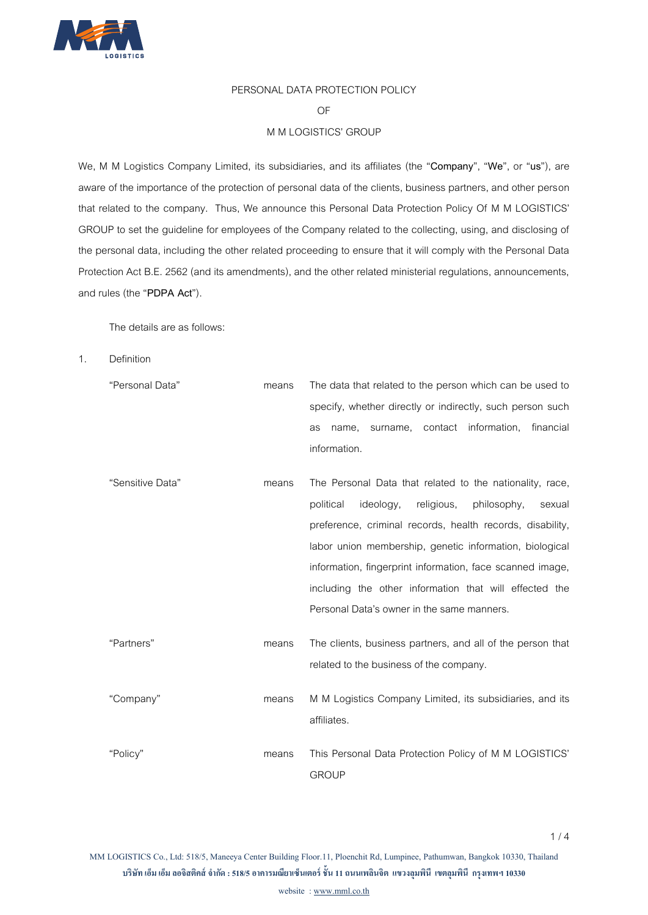

# PERSONAL DATA PROTECTION POLICY

#### OF

## M M LOGISTICS' GROUP

We, M M Logistics Company Limited, its subsidiaries, and its affiliates (the "**Company**", "**We**", or "**us**"), are aware of the importance of the protection of personal data of the clients, business partners, and other person that related to the company. Thus, We announce this Personal Data Protection Policy Of M M LOGISTICS' GROUP to set the guideline for employees of the Company related to the collecting, using, and disclosing of the personal data, including the other related proceeding to ensure that it will comply with the Personal Data Protection Act B.E. 2562 (and its amendments), and the other related ministerial regulations, announcements, and rules (the "**PDPA Act**").

The details are as follows:

1. Definition

| "Personal Data"  | means | The data that related to the person which can be used to      |
|------------------|-------|---------------------------------------------------------------|
|                  |       | specify, whether directly or indirectly, such person such     |
|                  |       | surname, contact information,<br>financial<br>name.<br>as     |
|                  |       | information.                                                  |
| "Sensitive Data" | means | The Personal Data that related to the nationality, race,      |
|                  |       | religious,<br>philosophy,<br>political<br>ideology,<br>sexual |
|                  |       | preference, criminal records, health records, disability,     |
|                  |       | labor union membership, genetic information, biological       |
|                  |       | information, fingerprint information, face scanned image,     |
|                  |       | including the other information that will effected the        |
|                  |       | Personal Data's owner in the same manners.                    |
| "Partners"       | means | The clients, business partners, and all of the person that    |
|                  |       | related to the business of the company.                       |
| "Company"        | means | M M Logistics Company Limited, its subsidiaries, and its      |
|                  |       | affiliates.                                                   |
| "Policy"         | means | This Personal Data Protection Policy of M M LOGISTICS'        |
|                  |       | <b>GROUP</b>                                                  |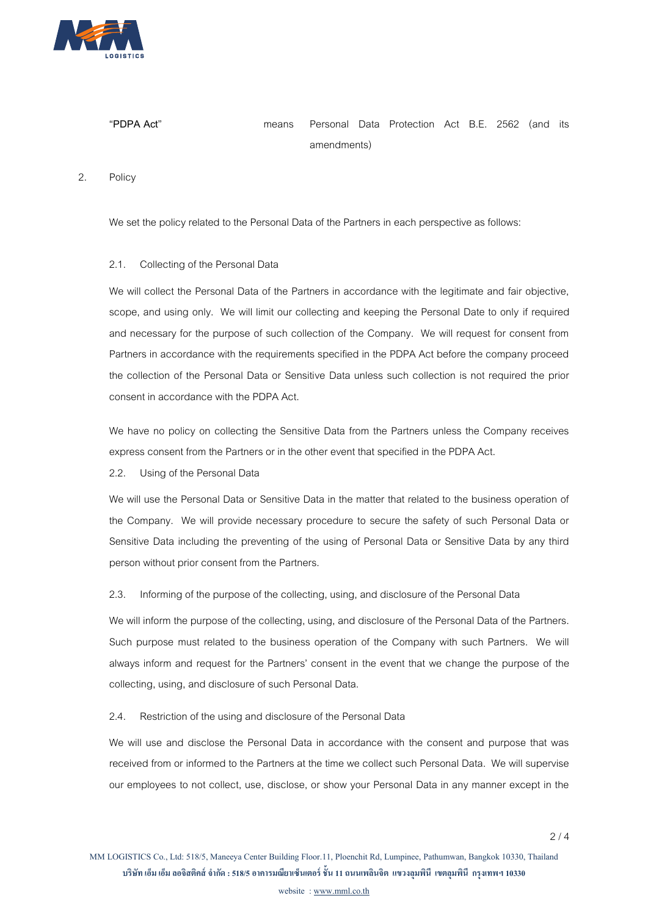

# "**PDPA Act**" means Personal Data Protection Act B.E. 2562 (and its amendments)

## 2. Policy

We set the policy related to the Personal Data of the Partners in each perspective as follows:

#### 2.1. Collecting of the Personal Data

We will collect the Personal Data of the Partners in accordance with the legitimate and fair objective, scope, and using only. We will limit our collecting and keeping the Personal Date to only if required and necessary for the purpose of such collection of the Company. We will request for consent from Partners in accordance with the requirements specified in the PDPA Act before the company proceed the collection of the Personal Data or Sensitive Data unless such collection is not required the prior consent in accordance with the PDPA Act.

We have no policy on collecting the Sensitive Data from the Partners unless the Company receives express consent from the Partners or in the other event that specified in the PDPA Act.

2.2. Using of the Personal Data

We will use the Personal Data or Sensitive Data in the matter that related to the business operation of the Company. We will provide necessary procedure to secure the safety of such Personal Data or Sensitive Data including the preventing of the using of Personal Data or Sensitive Data by any third person without prior consent from the Partners.

2.3. Informing of the purpose of the collecting, using, and disclosure of the Personal Data

We will inform the purpose of the collecting, using, and disclosure of the Personal Data of the Partners. Such purpose must related to the business operation of the Company with such Partners. We will always inform and request for the Partners' consent in the event that we change the purpose of the collecting, using, and disclosure of such Personal Data.

# 2.4. Restriction of the using and disclosure of the Personal Data

We will use and disclose the Personal Data in accordance with the consent and purpose that was received from or informed to the Partners at the time we collect such Personal Data. We will supervise our employees to not collect, use, disclose, or show your Personal Data in any manner except in the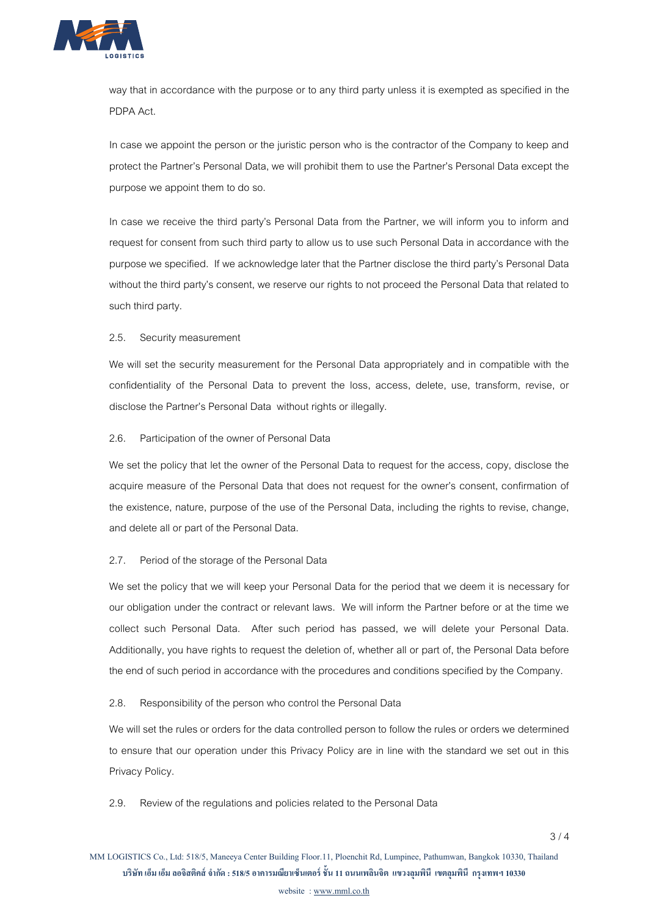

way that in accordance with the purpose or to any third party unless it is exempted as specified in the PDPA Act.

In case we appoint the person or the juristic person who is the contractor of the Company to keep and protect the Partner's Personal Data, we will prohibit them to use the Partner's Personal Data except the purpose we appoint them to do so.

In case we receive the third party's Personal Data from the Partner, we will inform you to inform and request for consent from such third party to allow us to use such Personal Data in accordance with the purpose we specified. If we acknowledge later that the Partner disclose the third party's Personal Data without the third party's consent, we reserve our rights to not proceed the Personal Data that related to such third party.

# 2.5. Security measurement

We will set the security measurement for the Personal Data appropriately and in compatible with the confidentiality of the Personal Data to prevent the loss, access, delete, use, transform, revise, or disclose the Partner's Personal Data without rights or illegally.

#### 2.6. Participation of the owner of Personal Data

We set the policy that let the owner of the Personal Data to request for the access, copy, disclose the acquire measure of the Personal Data that does not request for the owner's consent, confirmation of the existence, nature, purpose of the use of the Personal Data, including the rights to revise, change, and delete all or part of the Personal Data.

#### 2.7. Period of the storage of the Personal Data

We set the policy that we will keep your Personal Data for the period that we deem it is necessary for our obligation under the contract or relevant laws. We will inform the Partner before or at the time we collect such Personal Data. After such period has passed, we will delete your Personal Data. Additionally, you have rights to request the deletion of, whether all or part of, the Personal Data before the end of such period in accordance with the procedures and conditions specified by the Company.

#### 2.8. Responsibility of the person who control the Personal Data

We will set the rules or orders for the data controlled person to follow the rules or orders we determined to ensure that our operation under this Privacy Policy are in line with the standard we set out in this Privacy Policy.

2.9. Review of the regulations and policies related to the Personal Data